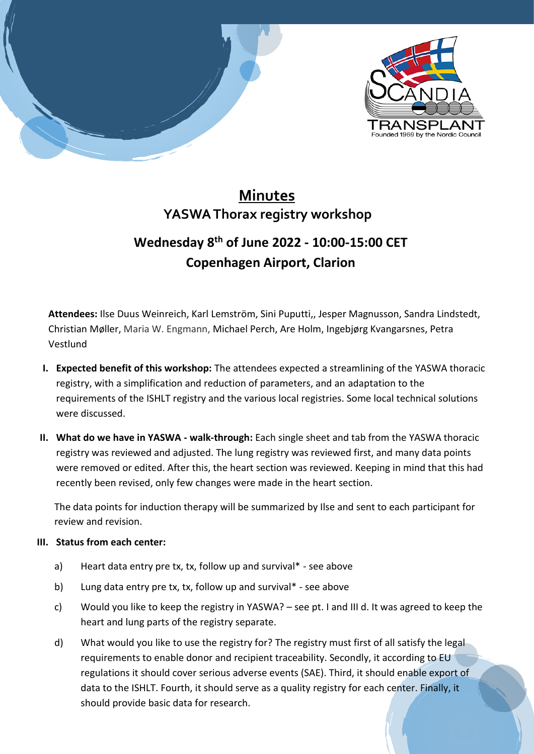

## **Minutes YASWA Thorax registry workshop**

## **Wednesday 8th of June 2022 - 10:00-15:00 CET Copenhagen Airport, Clarion**

**Attendees:** Ilse Duus Weinreich, Karl Lemström, Sini Puputti,, Jesper Magnusson, Sandra Lindstedt, Christian Møller, Maria W. Engmann, Michael Perch, Are Holm, Ingebjørg Kvangarsnes, Petra Vestlund

- **I. Expected benefit of this workshop:** The attendees expected a streamlining of the YASWA thoracic registry, with a simplification and reduction of parameters, and an adaptation to the requirements of the ISHLT registry and the various local registries. Some local technical solutions were discussed.
- **II. What do we have in YASWA - walk-through:** Each single sheet and tab from the YASWA thoracic registry was reviewed and adjusted. The lung registry was reviewed first, and many data points were removed or edited. After this, the heart section was reviewed. Keeping in mind that this had recently been revised, only few changes were made in the heart section.

The data points for induction therapy will be summarized by Ilse and sent to each participant for review and revision.

## **III. Status from each center:**

- a) Heart data entry pre tx, tx, follow up and survival\* see above
- b) Lung data entry pre tx, tx, follow up and survival\* see above
- c) Would you like to keep the registry in YASWA? see pt. I and III d. It was agreed to keep the heart and lung parts of the registry separate.
- d) What would you like to use the registry for? The registry must first of all satisfy the legal requirements to enable donor and recipient traceability. Secondly, it according to EU regulations it should cover serious adverse events (SAE). Third, it should enable export of data to the ISHLT. Fourth, it should serve as a quality registry for each center. Finally, it should provide basic data for research.